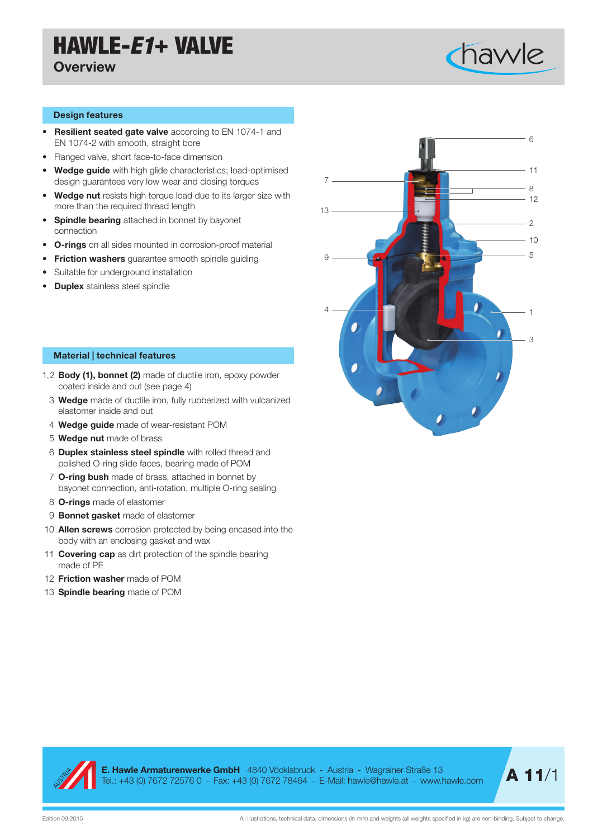## HAWLE-*E1*+ VALVE

### **Overview**



#### Design features

- Resilient seated gate valve according to EN 1074-1 and EN 1074-2 with smooth, straight bore
- Flanged valve, short face-to-face dimension
- Wedge guide with high glide characteristics; load-optimised design guarantees very low wear and closing torques
- Wedge nut resists high torque load due to its larger size with more than the required thread length
- Spindle bearing attached in bonnet by bayonet connection
- O-rings on all sides mounted in corrosion-proof material
- Friction washers quarantee smooth spindle quiding
- Suitable for underground installation
- Duplex stainless steel spindle

### Material | technical features

- 1,2 Body (1), bonnet (2) made of ductile iron, epoxy powder coated inside and out (see page 4)
	- 3 Wedge made of ductile iron, fully rubberized with vulcanized elastomer inside and out
	- 4 Wedge guide made of wear-resistant POM
	- 5 Wedge nut made of brass
	- 6 Duplex stainless steel spindle with rolled thread and polished O-ring slide faces, bearing made of POM
	- 7 O-ring bush made of brass, attached in bonnet by bayonet connection, anti-rotation, multiple O-ring sealing
	- 8 **O-rings** made of elastomer
	- 9 **Bonnet gasket** made of elastomer
- 10 **Allen screws** corrosion protected by being encased into the body with an enclosing gasket and wax
- 11 **Covering cap** as dirt protection of the spindle bearing made of PE
- 12 Friction washer made of POM
- 13 **Spindle bearing** made of POM





E. Hawle Armaturenwerke GmbH 4840 Vöcklabruck - Austria - Wagrainer Straße 13 **E. Hawie Armaturenwerke GmbH** 4840 Vocklabruck - Austria - Wagrainer Straße 13<br>Tel.: +43 (0) 7672 72576 0 - Fax: +43 (0) 7672 78464 - E-Mail: hawle@hawle.at - www.hawle.com **A 11/1** 

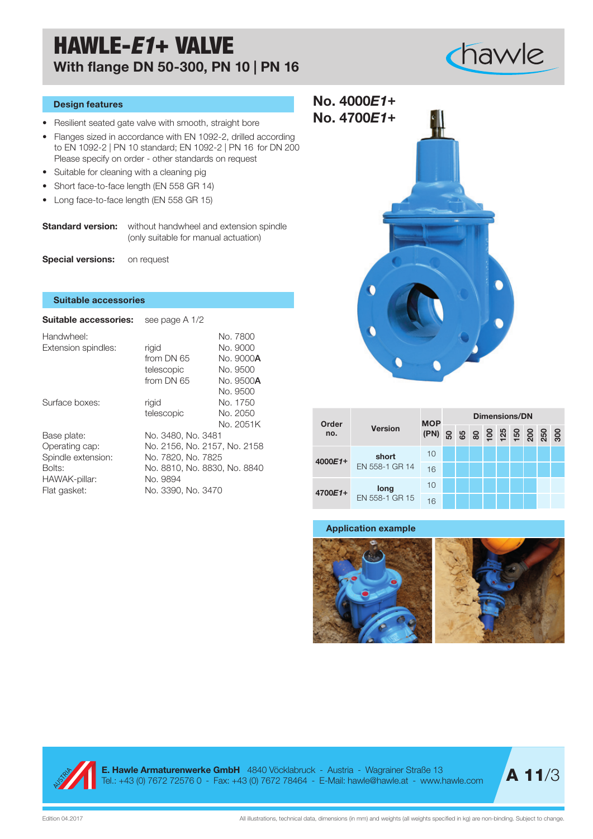### HAWLE-*E1*+ VALVE With flange DN 50-300, PN 10 | PN 16

# chawle

### Design features

- **No.** 4700**F141** Resilient seated gate valve with smooth, straight bore
- Flanges sized in accordance with EN 1092-2, drilled according to EN 1092-2 | PN 10 standard; EN 1092-2 | PN 16 for DN 200 Please specify on order - other standards on request
- Suitable for cleaning with a cleaning pig
- Short face-to-face length (EN 558 GR 14)
- Long face-to-face length (EN 558 GR 15)

**Standard version:** without handwheel and extension spindle (only suitable for manual actuation)

Special versions: on request

### Suitable accessories

| <b>Suitable accessories:</b>                                                                   | see page A 1/2                                                                                                                             |                                                       |  |  |  |  |  |  |
|------------------------------------------------------------------------------------------------|--------------------------------------------------------------------------------------------------------------------------------------------|-------------------------------------------------------|--|--|--|--|--|--|
| Handwheel:<br>Extension spindles:                                                              | rigid<br>from DN 65<br>telescopic                                                                                                          | No. 7800<br>No. 9000<br>No. 9000 <b>A</b><br>No. 9500 |  |  |  |  |  |  |
| Surface boxes:                                                                                 | from DN 65<br>rigid<br>telescopic                                                                                                          | No. 9500 <b>A</b><br>No. 9500<br>No. 1750<br>No. 2050 |  |  |  |  |  |  |
| Base plate:<br>Operating cap:<br>Spindle extension:<br>Bolts:<br>HAWAK-pillar:<br>Flat gasket: | No. 3480, No. 3481<br>No. 2156, No. 2157, No. 2158<br>No. 7820, No. 7825<br>No. 8810, No. 8830, No. 8840<br>No. 9894<br>No. 3390, No. 3470 | No. 2051K                                             |  |  |  |  |  |  |

| No. 4000E1+<br>No. 4700E1+ |  |
|----------------------------|--|
|                            |  |
|                            |  |
|                            |  |
|                            |  |

| Order<br>no. |                | <b>MOP</b><br>(PN) | Dimensions/DN |  |  |  |  |                   |  |  |  |  |
|--------------|----------------|--------------------|---------------|--|--|--|--|-------------------|--|--|--|--|
|              | <b>Version</b> |                    |               |  |  |  |  | <b>8889898888</b> |  |  |  |  |
| 4000E1+      | short          | 10                 |               |  |  |  |  |                   |  |  |  |  |
|              | EN 558-1 GR 14 | 16                 |               |  |  |  |  |                   |  |  |  |  |
| 4700E1+      | long           | 10                 |               |  |  |  |  |                   |  |  |  |  |
|              | EN 558-1 GR 15 | 16                 |               |  |  |  |  |                   |  |  |  |  |

### Application example







**E. Hawle Armaturenwerke GmbH** 4840 Vöcklabruck - Austria - Wagrainer Straße 13<br>Tel.: +43 (0) 7672 72576 0 - Fax: +43 (0) 7672 78464 - E-Mail: hawle@hawle.at - www.hawle.com